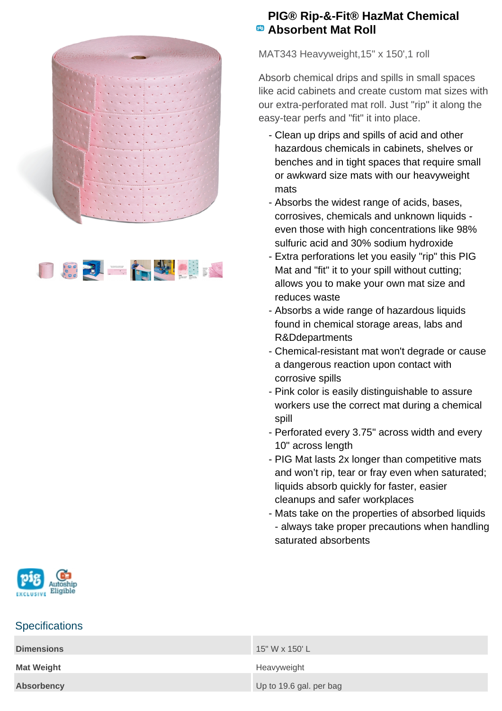



## **PIG® Rip-&-Fit® HazMat Chemical Absorbent Mat Roll**

MAT343 Heavyweight,15" x 150',1 roll

Absorb chemical drips and spills in small spaces like acid cabinets and create custom mat sizes with our extra-perforated mat roll. Just "rip" it along the easy-tear perfs and "fit" it into place.

- Clean up drips and spills of acid and other hazardous chemicals in cabinets, shelves or benches and in tight spaces that require small or awkward size mats with our heavyweight mats
- Absorbs the widest range of acids, bases, corrosives, chemicals and unknown liquids even those with high concentrations like 98% sulfuric acid and 30% sodium hydroxide
- Extra perforations let you easily "rip" this PIG Mat and "fit" it to your spill without cutting; allows you to make your own mat size and reduces waste
- Absorbs a wide range of hazardous liquids found in chemical storage areas, labs and R&Ddepartments
- Chemical-resistant mat won't degrade or cause a dangerous reaction upon contact with corrosive spills
- Pink color is easily distinguishable to assure workers use the correct mat during a chemical spill
- Perforated every 3.75" across width and every 10" across length
- PIG Mat lasts 2x longer than competitive mats and won't rip, tear or fray even when saturated; liquids absorb quickly for faster, easier cleanups and safer workplaces
- Mats take on the properties of absorbed liquids - always take proper precautions when handling saturated absorbents



## **Specifications**

| <b>Dimensions</b> | 15" W x 150' L          |
|-------------------|-------------------------|
| <b>Mat Weight</b> | Heavyweight             |
| <b>Absorbency</b> | Up to 19.6 gal. per bag |